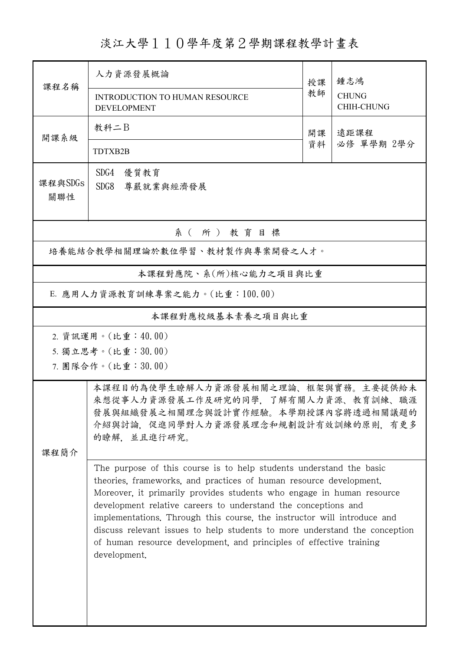淡江大學110學年度第2學期課程教學計畫表

|                                | 人力資源發展概論                                                                                                                                                                                                           | 授課       | 鍾志鴻                        |  |  |
|--------------------------------|--------------------------------------------------------------------------------------------------------------------------------------------------------------------------------------------------------------------|----------|----------------------------|--|--|
| 課程名稱                           | <b>INTRODUCTION TO HUMAN RESOURCE</b><br><b>DEVELOPMENT</b>                                                                                                                                                        | 教師       | <b>CHUNG</b><br>CHIH-CHUNG |  |  |
| 開課系級                           | 教科二B                                                                                                                                                                                                               | 開課<br>資料 | 遠距課程                       |  |  |
|                                | TDTXB2B                                                                                                                                                                                                            |          | 必修 單學期 2學分                 |  |  |
| 課程與SDGs                        | SDG4<br>優質教育<br>SDG8<br>尊嚴就業與經濟發展                                                                                                                                                                                  |          |                            |  |  |
| 關聯性                            |                                                                                                                                                                                                                    |          |                            |  |  |
|                                | 系 (所) 教育目標                                                                                                                                                                                                         |          |                            |  |  |
| 培養能結合教學相關理論於數位學習、教材製作與專案開發之人才。 |                                                                                                                                                                                                                    |          |                            |  |  |
| 本課程對應院、系(所)核心能力之項目與比重          |                                                                                                                                                                                                                    |          |                            |  |  |
| E. 應用人力資源教育訓練專案之能力。(比重:100.00) |                                                                                                                                                                                                                    |          |                            |  |  |
| 本課程對應校級基本素養之項目與比重              |                                                                                                                                                                                                                    |          |                            |  |  |
|                                | 2. 資訊運用。(比重:40.00)                                                                                                                                                                                                 |          |                            |  |  |
|                                | 5. 獨立思考。(比重:30.00)                                                                                                                                                                                                 |          |                            |  |  |
| 7. 團隊合作。(比重:30.00)             |                                                                                                                                                                                                                    |          |                            |  |  |
|                                | 本課程目的為使學生瞭解人力資源發展相關之理論、框架與實務。主要提供給未<br>來想從事人力資源發展工作及研究的同學,了解有關人力資源、教育訓練、職涯<br>發展與組織發展之相關理念與設計實作經驗。本學期授課內容將透過相關議題的<br>介紹與討論,促進同學對人力資源發展理念和規劃設計有效訓練的原則,有更多<br>的瞭解, 並且進行研究。                                           |          |                            |  |  |
| 課程簡介                           |                                                                                                                                                                                                                    |          |                            |  |  |
|                                | The purpose of this course is to help students understand the basic<br>theories, frameworks, and practices of human resource development.<br>Moreover, it primarily provides students who engage in human resource |          |                            |  |  |
|                                | development relative careers to understand the conceptions and<br>implementations. Through this course, the instructor will introduce and                                                                          |          |                            |  |  |
|                                | discuss relevant issues to help students to more understand the conception<br>of human resource development, and principles of effective training<br>development.                                                  |          |                            |  |  |
|                                |                                                                                                                                                                                                                    |          |                            |  |  |
|                                |                                                                                                                                                                                                                    |          |                            |  |  |
|                                |                                                                                                                                                                                                                    |          |                            |  |  |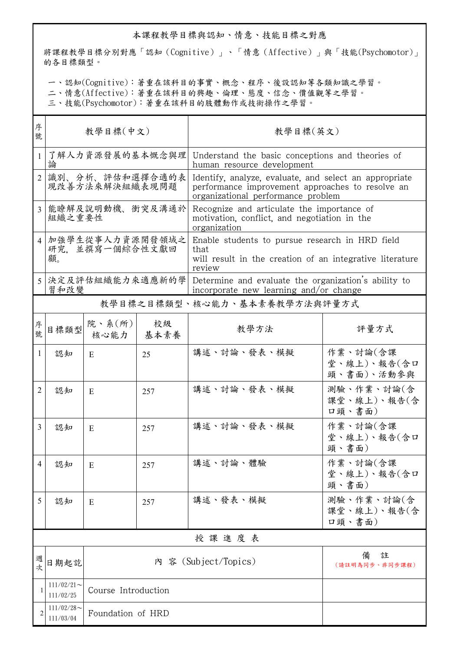## 本課程教學目標與認知、情意、技能目標之對應

將課程教學目標分別對應「認知(Cognitive)」、「情意(Affective)」與「技能(Psychomotor)」 的各目標類型。

一、認知(Cognitive):著重在該科目的事實、概念、程序、後設認知等各類知識之學習。

二、情意(Affective):著重在該科目的興趣、倫理、態度、信念、價值觀等之學習。

三、技能(Psychomotor):著重在該科目的肢體動作或技術操作之學習。

| 序<br>號         | 教學目標(中文)                                 |                          |            | 教學目標(英文)                                                                                                                                         |                                       |  |  |
|----------------|------------------------------------------|--------------------------|------------|--------------------------------------------------------------------------------------------------------------------------------------------------|---------------------------------------|--|--|
| $\mathbf{1}$   | 論                                        | 了解人力資源發展的基本慨念與理          |            | Understand the basic conceptions and theories of<br>human resource development                                                                   |                                       |  |  |
| $\overline{2}$ | 識別、分析、評估和選擇合適的表<br>現改善方法來解決組織表現問題        |                          |            | Identify, analyze, evaluate, and select an appropriate<br>performance improvement approaches to resolve an<br>organizational performance problem |                                       |  |  |
| 3              | 能瞭解及說明動機、衝突及溝通於<br>組織之重要性                |                          |            | Recognize and articulate the importance of<br>motivation, conflict, and negotiation in the<br>organization                                       |                                       |  |  |
| $\overline{4}$ | 加強學生從事人力資源開發領域之<br>研究. 並撰寫一個綜合性文獻回<br>顧。 |                          |            | Enable students to pursue research in HRD field<br>that<br>will result in the creation of an integrative literature<br>review                    |                                       |  |  |
|                | 決定及評估組織能力來適應新的學<br>習和改變                  |                          |            | Determine and evaluate the organization's ability to<br>incorporate new learning and/or change                                                   |                                       |  |  |
|                |                                          |                          |            | 教學目標之目標類型、核心能力、基本素養教學方法與評量方式                                                                                                                     |                                       |  |  |
| 序號             | 目標類型                                     | 院、系 $(\kappa)$  <br>核心能力 | 校級<br>基本素養 | 教學方法                                                                                                                                             | 評量方式                                  |  |  |
| 1              | 認知                                       | E.                       | 25         | 講述、討論、發表、模擬                                                                                                                                      | 作業、討論(含課<br>堂、線上)、報告(含口<br>頭、書面)、活動參與 |  |  |
| 2              | 認知                                       | E                        | 257        | 講述、討論、發表、模擬                                                                                                                                      | 測驗、作業、討論(含<br>課堂、線上)、報告(含<br>口頭、書面)   |  |  |
| 3              | 認知                                       | E                        | 257        | 講述、討論、發表、模擬                                                                                                                                      | 作業、討論(含課<br>堂、線上)、報告(含口<br>頭、書面)      |  |  |
| 4              | 認知                                       | E                        | 257        | 講述、討論、體驗                                                                                                                                         | 作業、討論(含課<br>堂、線上)、報告(含口<br>頭、書面)      |  |  |
| 5              | 認知                                       | E                        | 257        | 講述、發表、模擬                                                                                                                                         | 測驗、作業、討論(含<br>課堂、線上)、報告(含<br>口頭、書面)   |  |  |
|                | 授課進度表                                    |                          |            |                                                                                                                                                  |                                       |  |  |
| 週次             | 日期起訖                                     |                          |            | 內 容 (Subject/Topics)                                                                                                                             | 備<br>註<br>(請註明為同步、非同步課程)              |  |  |
|                | $111/02/21$ ~<br>111/02/25               | Course Introduction      |            |                                                                                                                                                  |                                       |  |  |
|                | $111/02/28$ ~<br>111/03/04               | Foundation of HRD        |            |                                                                                                                                                  |                                       |  |  |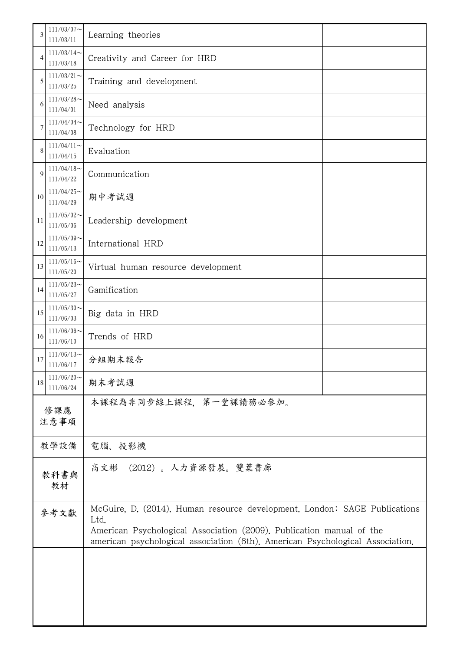| 3           | $111/03/07$ ~<br>111/03/11 | Learning theories                                                                                                                                                                                                                          |  |  |
|-------------|----------------------------|--------------------------------------------------------------------------------------------------------------------------------------------------------------------------------------------------------------------------------------------|--|--|
| 4           | $111/03/14$ ~<br>111/03/18 | Creativity and Career for HRD                                                                                                                                                                                                              |  |  |
| 5           | $111/03/21$ ~<br>111/03/25 | Training and development                                                                                                                                                                                                                   |  |  |
| 6           | $111/03/28$ ~<br>111/04/01 | Need analysis                                                                                                                                                                                                                              |  |  |
| 7           | $111/04/04$ ~<br>111/04/08 | Technology for HRD                                                                                                                                                                                                                         |  |  |
| 8           | $111/04/11$ ~<br>111/04/15 | Evaluation                                                                                                                                                                                                                                 |  |  |
| 9           | $111/04/18$ ~<br>111/04/22 | Communication                                                                                                                                                                                                                              |  |  |
| 10          | $111/04/25$ ~<br>111/04/29 | 期中考試週                                                                                                                                                                                                                                      |  |  |
| 11          | $111/05/02$ ~<br>111/05/06 | Leadership development                                                                                                                                                                                                                     |  |  |
| 12          | $111/05/09$ ~<br>111/05/13 | International HRD                                                                                                                                                                                                                          |  |  |
| 13          | $111/05/16$ ~<br>111/05/20 | Virtual human resource development                                                                                                                                                                                                         |  |  |
| 14          | $111/05/23$ ~<br>111/05/27 | Gamification                                                                                                                                                                                                                               |  |  |
| 15          | $111/05/30$ ~<br>111/06/03 | Big data in HRD                                                                                                                                                                                                                            |  |  |
| 16          | $111/06/06$ ~<br>111/06/10 | Trends of HRD                                                                                                                                                                                                                              |  |  |
| 17          | $111/06/13$ ~<br>111/06/17 | 分組期末報告                                                                                                                                                                                                                                     |  |  |
| 18          | $111/06/20$ ~<br>111/06/24 | 期末考試週                                                                                                                                                                                                                                      |  |  |
| 修課應<br>注意事項 |                            | 本課程為非同步線上課程,第一堂課請務必參加。                                                                                                                                                                                                                     |  |  |
| 教學設備        |                            | 電腦、投影機                                                                                                                                                                                                                                     |  |  |
| 教科書與<br>教材  |                            | 高文彬 (2012)。 人力資源發展。雙葉書廊                                                                                                                                                                                                                    |  |  |
| 參考文獻        |                            | McGuire, D. (2014). Human resource development. London: SAGE Publications<br>Ltd.<br>American Psychological Association (2009). Publication manual of the<br>american psychological association (6th). American Psychological Association. |  |  |
|             |                            |                                                                                                                                                                                                                                            |  |  |